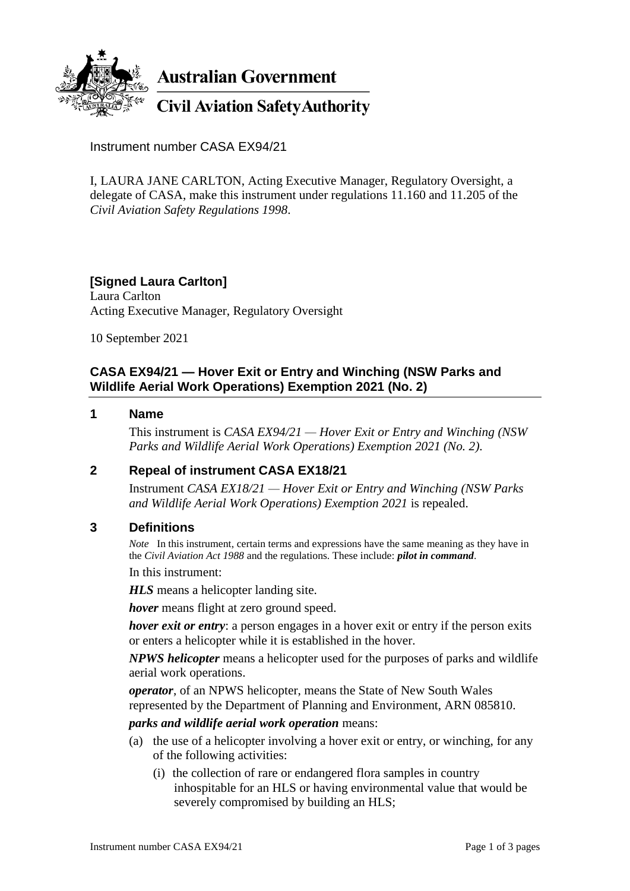

**Australian Government** 

**Civil Aviation Safety Authority** 

Instrument number CASA EX94/21

I, LAURA JANE CARLTON, Acting Executive Manager, Regulatory Oversight, a delegate of CASA, make this instrument under regulations 11.160 and 11.205 of the *Civil Aviation Safety Regulations 1998*.

# **[Signed Laura Carlton]**

Laura Carlton Acting Executive Manager, Regulatory Oversight

10 September 2021

## **CASA EX94/21 — Hover Exit or Entry and Winching (NSW Parks and Wildlife Aerial Work Operations) Exemption 2021 (No. 2)**

#### **1 Name**

This instrument is *CASA EX94/21 — Hover Exit or Entry and Winching (NSW Parks and Wildlife Aerial Work Operations) Exemption 2021 (No. 2)*.

#### **2 Repeal of instrument CASA EX18/21**

Instrument *CASA EX18/21 — Hover Exit or Entry and Winching (NSW Parks and Wildlife Aerial Work Operations) Exemption 2021* is repealed.

#### **3 Definitions**

*Note* In this instrument, certain terms and expressions have the same meaning as they have in the *Civil Aviation Act 1988* and the regulations. These include: *pilot in command*.

In this instrument:

*HLS* means a helicopter landing site.

*hover* means flight at zero ground speed.

*hover exit or entry*: a person engages in a hover exit or entry if the person exits or enters a helicopter while it is established in the hover.

*NPWS helicopter* means a helicopter used for the purposes of parks and wildlife aerial work operations.

*operator*, of an NPWS helicopter, means the State of New South Wales represented by the Department of Planning and Environment, ARN 085810.

*parks and wildlife aerial work operation* means:

- (a) the use of a helicopter involving a hover exit or entry, or winching, for any of the following activities:
	- (i) the collection of rare or endangered flora samples in country inhospitable for an HLS or having environmental value that would be severely compromised by building an HLS;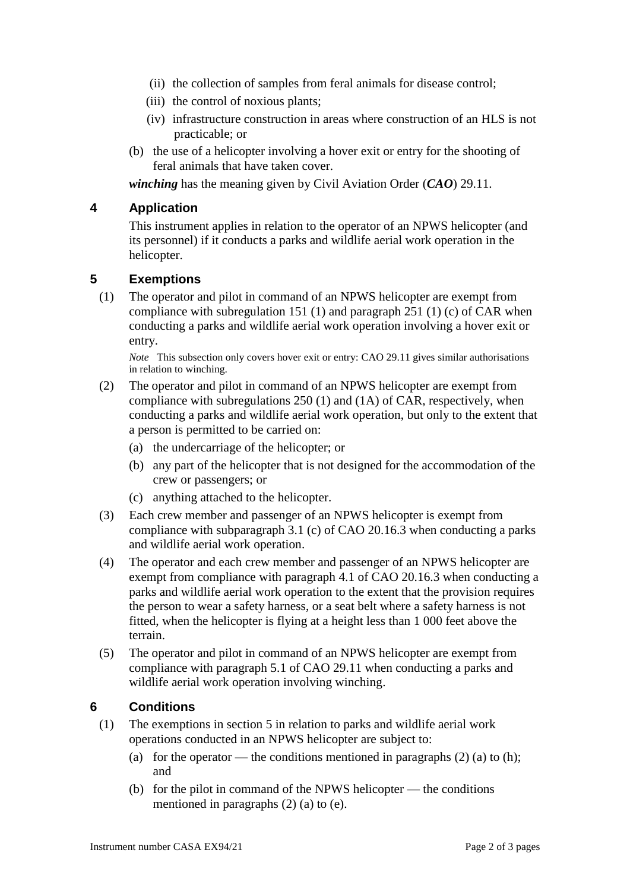- (ii) the collection of samples from feral animals for disease control;
- (iii) the control of noxious plants;
- (iv) infrastructure construction in areas where construction of an HLS is not practicable; or
- (b) the use of a helicopter involving a hover exit or entry for the shooting of feral animals that have taken cover.

*winching* has the meaning given by Civil Aviation Order (*CAO*) 29.11.

### **4 Application**

This instrument applies in relation to the operator of an NPWS helicopter (and its personnel) if it conducts a parks and wildlife aerial work operation in the helicopter.

#### **5 Exemptions**

(1) The operator and pilot in command of an NPWS helicopter are exempt from compliance with subregulation 151 (1) and paragraph 251 (1) (c) of CAR when conducting a parks and wildlife aerial work operation involving a hover exit or entry.

*Note* This subsection only covers hover exit or entry: CAO 29.11 gives similar authorisations in relation to winching.

- (2) The operator and pilot in command of an NPWS helicopter are exempt from compliance with subregulations 250 (1) and (1A) of CAR, respectively, when conducting a parks and wildlife aerial work operation, but only to the extent that a person is permitted to be carried on:
	- (a) the undercarriage of the helicopter; or
	- (b) any part of the helicopter that is not designed for the accommodation of the crew or passengers; or
	- (c) anything attached to the helicopter.
- (3) Each crew member and passenger of an NPWS helicopter is exempt from compliance with subparagraph 3.1 (c) of CAO 20.16.3 when conducting a parks and wildlife aerial work operation.
- (4) The operator and each crew member and passenger of an NPWS helicopter are exempt from compliance with paragraph 4.1 of CAO 20.16.3 when conducting a parks and wildlife aerial work operation to the extent that the provision requires the person to wear a safety harness, or a seat belt where a safety harness is not fitted, when the helicopter is flying at a height less than 1 000 feet above the terrain.
- (5) The operator and pilot in command of an NPWS helicopter are exempt from compliance with paragraph 5.1 of CAO 29.11 when conducting a parks and wildlife aerial work operation involving winching.

#### **6 Conditions**

- (1) The exemptions in section 5 in relation to parks and wildlife aerial work operations conducted in an NPWS helicopter are subject to:
	- (a) for the operator the conditions mentioned in paragraphs  $(2)$  (a) to (h); and
	- (b) for the pilot in command of the NPWS helicopter the conditions mentioned in paragraphs (2) (a) to (e).